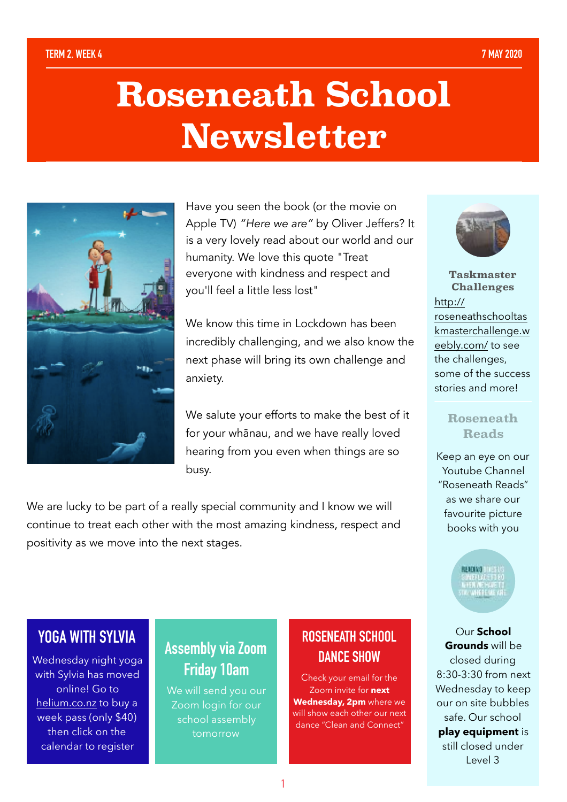# **Roseneath School Newsletter**



Have you seen the book (or the movie on Apple TV) *"Here we are"* by Oliver Jeffers? It is a very lovely read about our world and our humanity. We love this quote "Treat everyone with kindness and respect and you'll feel a little less lost"

We know this time in Lockdown has been incredibly challenging, and we also know the next phase will bring its own challenge and anxiety.

We salute your efforts to make the best of it for your whānau, and we have really loved hearing from you even when things are so busy.

We are lucky to be part of a really special community and I know we will continue to treat each other with the most amazing kindness, respect and positivity as we move into the next stages.



**Taskmaster Challenges** [http://](http://roseneathschooltaskmasterchallenge.weebly.com/) [roseneathschooltas](http://roseneathschooltaskmasterchallenge.weebly.com/) [kmasterchallenge.w](http://roseneathschooltaskmasterchallenge.weebly.com/) [eebly.com/](http://roseneathschooltaskmasterchallenge.weebly.com/) to see the challenges, some of the success stories and more!

#### **Roseneath Reads**

Keep an eye on our Youtube Channel "Roseneath Reads" as we share our favourite picture books with you

READING TO:

Our **School Grounds** will be closed during 8:30-3:30 from next Wednesday to keep our on site bubbles safe. Our school **play equipment** is still closed under Level 3

# **YOGA WITH SYLVIA**

Wednesday night yoga with Sylvia has moved online! Go to [helium.co.nz](http://helium.co.nz) to buy a week pass (only \$40) then click on the calendar to register

# **Assembly via Zoom Friday 10am**

We will send you our Zoom login for our school assembly tomorrow

# **ROSENEATH SCHOOL DANCE SHOW**

Check your email for the Zoom invite for **next Wednesday, 2pm** where we will show each other our next dance "Clean and Connect"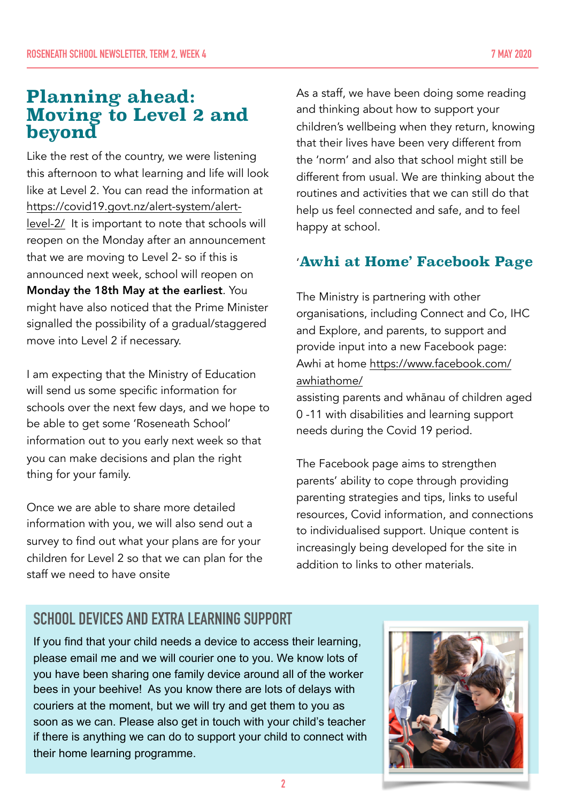# **Planning ahead: Moving to Level 2 and beyond**

Like the rest of the country, we were listening this afternoon to what learning and life will look like at Level 2. You can read the information at [https://covid19.govt.nz/alert-system/alert](https://covid19.govt.nz/alert-system/alert-level-2/)[level-2/](https://covid19.govt.nz/alert-system/alert-level-2/) It is important to note that schools will reopen on the Monday after an announcement that we are moving to Level 2- so if this is announced next week, school will reopen on Monday the 18th May at the earliest. You might have also noticed that the Prime Minister signalled the possibility of a gradual/staggered move into Level 2 if necessary.

I am expecting that the Ministry of Education will send us some specific information for schools over the next few days, and we hope to be able to get some 'Roseneath School' information out to you early next week so that you can make decisions and plan the right thing for your family.

Once we are able to share more detailed information with you, we will also send out a survey to find out what your plans are for your children for Level 2 so that we can plan for the staff we need to have onsite

As a staff, we have been doing some reading and thinking about how to support your children's wellbeing when they return, knowing that their lives have been very different from the 'norm' and also that school might still be different from usual. We are thinking about the routines and activities that we can still do that help us feel connected and safe, and to feel happy at school.

### '**Awhi at Home' Facebook Page**

The Ministry is partnering with other organisations, including Connect and Co, IHC and Explore, and parents, to support and provide input into a new Facebook page: Awhi at home [https://www.facebook.com/](https://www.facebook.com/awhiathome/) [awhiathome/](https://www.facebook.com/awhiathome/)

assisting parents and whānau of children aged 0 -11 with disabilities and learning support needs during the Covid 19 period.

The Facebook page aims to strengthen parents' ability to cope through providing parenting strategies and tips, links to useful resources, Covid information, and connections to individualised support. Unique content is increasingly being developed for the site in addition to links to other materials.

# **SCHOOL DEVICES AND EXTRA LEARNING SUPPORT**

If you find that your child needs a device to access their learning, please email me and we will courier one to you. We know lots of you have been sharing one family device around all of the worker bees in your beehive! As you know there are lots of delays with couriers at the moment, but we will try and get them to you as soon as we can. Please also get in touch with your child's teacher if there is anything we can do to support your child to connect with their home learning programme.

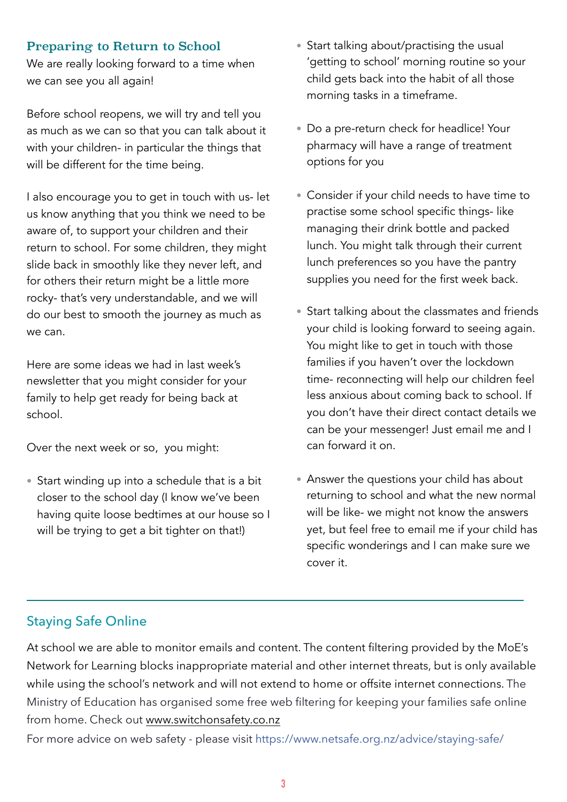#### Preparing to Return to School

We are really looking forward to a time when we can see you all again!

Before school reopens, we will try and tell you as much as we can so that you can talk about it with your children- in particular the things that will be different for the time being.

I also encourage you to get in touch with us- let us know anything that you think we need to be aware of, to support your children and their return to school. For some children, they might slide back in smoothly like they never left, and for others their return might be a little more rocky- that's very understandable, and we will do our best to smooth the journey as much as we can.

Here are some ideas we had in last week's newsletter that you might consider for your family to help get ready for being back at school.

Over the next week or so, you might:

• Start winding up into a schedule that is a bit closer to the school day (I know we've been having quite loose bedtimes at our house so I will be trying to get a bit tighter on that!)

- Start talking about/practising the usual 'getting to school' morning routine so your child gets back into the habit of all those morning tasks in a timeframe.
- Do a pre-return check for headlice! Your pharmacy will have a range of treatment options for you
- Consider if your child needs to have time to practise some school specific things- like managing their drink bottle and packed lunch. You might talk through their current lunch preferences so you have the pantry supplies you need for the first week back.
- Start talking about the classmates and friends your child is looking forward to seeing again. You might like to get in touch with those families if you haven't over the lockdown time- reconnecting will help our children feel less anxious about coming back to school. If you don't have their direct contact details we can be your messenger! Just email me and I can forward it on.
- Answer the questions your child has about returning to school and what the new normal will be like- we might not know the answers yet, but feel free to email me if your child has specific wonderings and I can make sure we cover it.

#### Staying Safe Online

At school we are able to monitor emails and content. The content filtering provided by the MoE's Network for Learning blocks inappropriate material and other internet threats, but is only available while using the school's network and will not extend to home or offsite internet connections. The Ministry of Education has organised some free web filtering for keeping your families safe online from home. Check out [www.switchonsafety.co.nz](http://www.switchonsafety.co.nz)

For more advice on web safety - please visit [https://www.netsafe.org.nz/advice/staying-safe/](https://www.netsafe.org.nz/advice/staying-safe/?fbclid=IwAR30qA8f7w3w5xDgFYm_-WGnBbLFCOZiN0qcirPjlqumjFweZlytq4iznXo)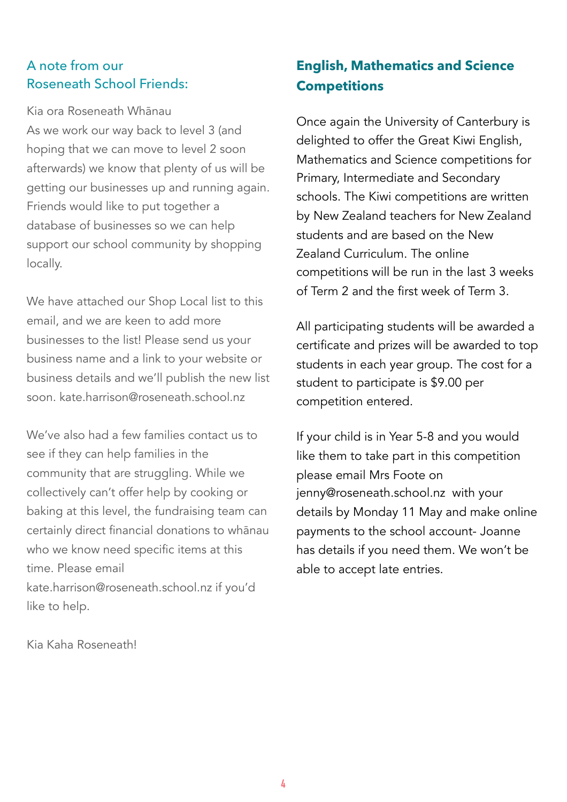#### A note from our Roseneath School Friends:

Kia ora Roseneath Whānau As we work our way back to level 3 (and hoping that we can move to level 2 soon afterwards) we know that plenty of us will be getting our businesses up and running again. Friends would like to put together a database of businesses so we can help support our school community by shopping locally.

We have attached our Shop Local list to this email, and we are keen to add more businesses to the list! Please send us your business name and a link to your website or business details and we'll publish the new list soon. kate.harrison@roseneath.school.nz

We've also had a few families contact us to see if they can help families in the community that are struggling. While we collectively can't offer help by cooking or baking at this level, the fundraising team can certainly direct financial donations to whānau who we know need specific items at this time. Please email kate.harrison@roseneath.school.nz if you'd like to help.

**English, Mathematics and Science Competitions**

Once again the University of Canterbury is delighted to offer the Great Kiwi English, Mathematics and Science competitions for Primary, Intermediate and Secondary schools. The Kiwi competitions are written by New Zealand teachers for New Zealand students and are based on the New Zealand Curriculum. The online competitions will be run in the last 3 weeks of Term 2 and the first week of Term 3.

All participating students will be awarded a certificate and prizes will be awarded to top students in each year group. The cost for a student to participate is \$9.00 per competition entered.

If your child is in Year 5-8 and you would like them to take part in this competition please email Mrs Foote on jenny@roseneath.school.nz with your details by Monday 11 May and make online payments to the school account- Joanne has details if you need them. We won't be able to accept late entries.

Kia Kaha Roseneath!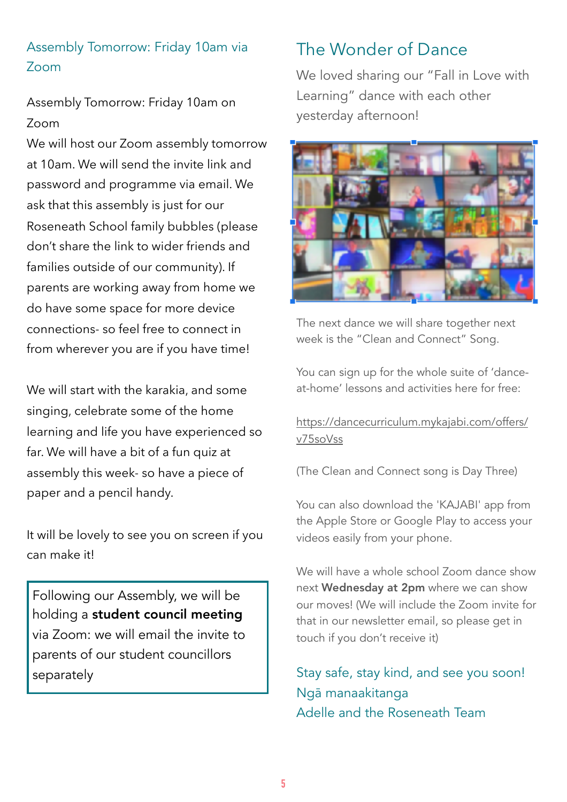## Assembly Tomorrow: Friday 10am via Zoom

Assembly Tomorrow: Friday 10am on Zoom

We will host our Zoom assembly tomorrow at 10am. We will send the invite link and password and programme via email. We ask that this assembly is just for our Roseneath School family bubbles (please don't share the link to wider friends and families outside of our community). If parents are working away from home we do have some space for more device connections- so feel free to connect in from wherever you are if you have time!

We will start with the karakia, and some singing, celebrate some of the home learning and life you have experienced so far. We will have a bit of a fun quiz at assembly this week- so have a piece of paper and a pencil handy.

It will be lovely to see you on screen if you can make it!

Following our Assembly, we will be holding a student council meeting via Zoom: we will email the invite to parents of our student councillors separately

# The Wonder of Dance

We loved sharing our "Fall in Love with Learning" dance with each other yesterday afternoon!



The next dance we will share together next week is the "Clean and Connect" Song.

You can sign up for the whole suite of 'danceat-home' lessons and activities here for free:

#### [https://dancecurriculum.mykajabi.com/offers/](https://dancecurriculum.mykajabi.com/offers/v75soVss) [v75soVss](https://dancecurriculum.mykajabi.com/offers/v75soVss)

(The Clean and Connect song is Day Three)

You can also download the 'KAJABI' app from the Apple Store or Google Play to access your videos easily from your phone.

We will have a whole school Zoom dance show next Wednesday at 2pm where we can show our moves! (We will include the Zoom invite for that in our newsletter email, so please get in touch if you don't receive it)

Stay safe, stay kind, and see you soon! Ngā manaakitanga Adelle and the Roseneath Team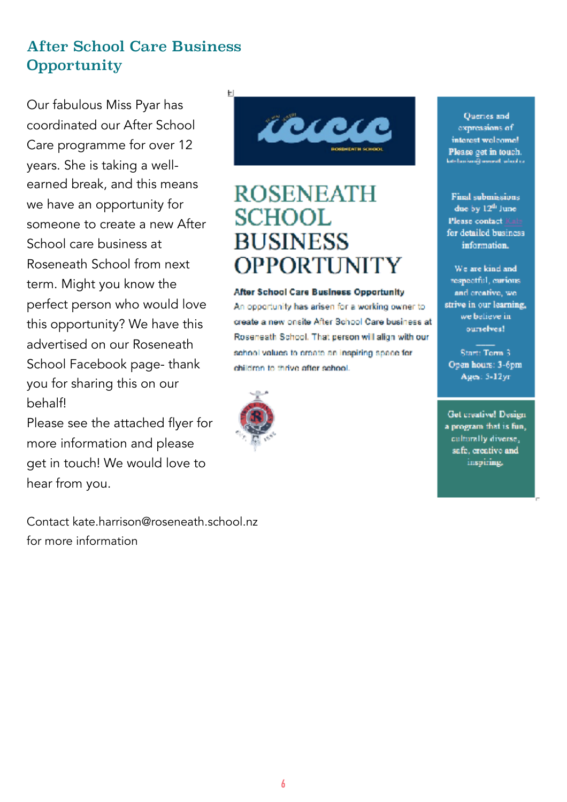# After School Care Business **Opportunity**

Our fabulous Miss Pyar has coordinated our After School Care programme for over 12 years. She is taking a wellearned break, and this means we have an opportunity for someone to create a new After School care business at Roseneath School from next term. Might you know the perfect person who would love this opportunity? We have this advertised on our Roseneath School Facebook page- thank you for sharing this on our behalf!

Please see the attached flyer for more information and please get in touch! We would love to hear from you.

Contact kate.harrison@roseneath.school.nz for more information



# **ROSENEATH SCHOOI BUSINESS OPPORTINITY**

#### **After School Care Business Opportunity**

An opportunity has arisen for a working owner to create a new onsite After School Care business at Roseneath School. That person will align with our school values to preate an inspiring space for children to thrive after school.



Queries and expressions of interest welcome! Please get in touch. shortenik memeli selamban

**Final submissions** due by 12<sup>th</sup> June Please contact Kabs for detailed business information.

We are kind and respectful, curious. and creative, we strive in our learning, we believe in ourselves!

Start: Torm 3 Open hours: 3-6pm Ages: 5-12yr

**Get creative! Design** a program that is fun, culturally diverse, safe, creative and inspiring.